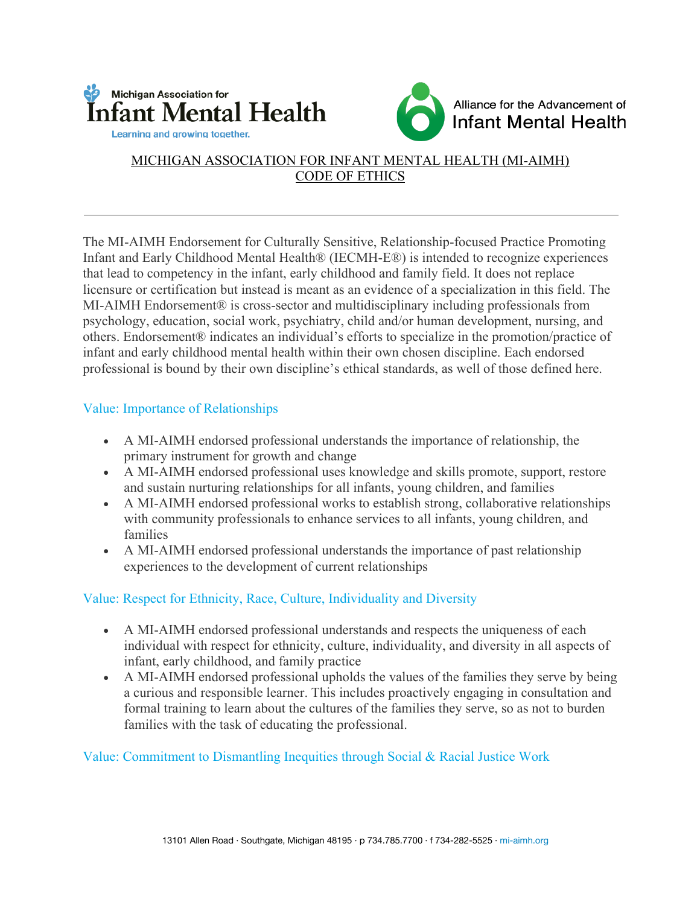



## MICHIGAN ASSOCIATION FOR INFANT MENTAL HEALTH (MI-AIMH) CODE OF ETHICS

The MI-AIMH Endorsement for Culturally Sensitive, Relationship-focused Practice Promoting Infant and Early Childhood Mental Health® (IECMH-E®) is intended to recognize experiences that lead to competency in the infant, early childhood and family field. It does not replace licensure or certification but instead is meant as an evidence of a specialization in this field. The MI-AIMH Endorsement® is cross-sector and multidisciplinary including professionals from psychology, education, social work, psychiatry, child and/or human development, nursing, and others. Endorsement® indicates an individual's efforts to specialize in the promotion/practice of infant and early childhood mental health within their own chosen discipline. Each endorsed professional is bound by their own discipline's ethical standards, as well of those defined here.

## Value: Importance of Relationships

- A MI-AIMH endorsed professional understands the importance of relationship, the primary instrument for growth and change
- A MI-AIMH endorsed professional uses knowledge and skills promote, support, restore and sustain nurturing relationships for all infants, young children, and families
- A MI-AIMH endorsed professional works to establish strong, collaborative relationships with community professionals to enhance services to all infants, young children, and families
- A MI-AIMH endorsed professional understands the importance of past relationship experiences to the development of current relationships

# Value: Respect for Ethnicity, Race, Culture, Individuality and Diversity

- A MI-AIMH endorsed professional understands and respects the uniqueness of each individual with respect for ethnicity, culture, individuality, and diversity in all aspects of infant, early childhood, and family practice
- A MI-AIMH endorsed professional upholds the values of the families they serve by being a curious and responsible learner. This includes proactively engaging in consultation and formal training to learn about the cultures of the families they serve, so as not to burden families with the task of educating the professional.

### Value: Commitment to Dismantling Inequities through Social & Racial Justice Work